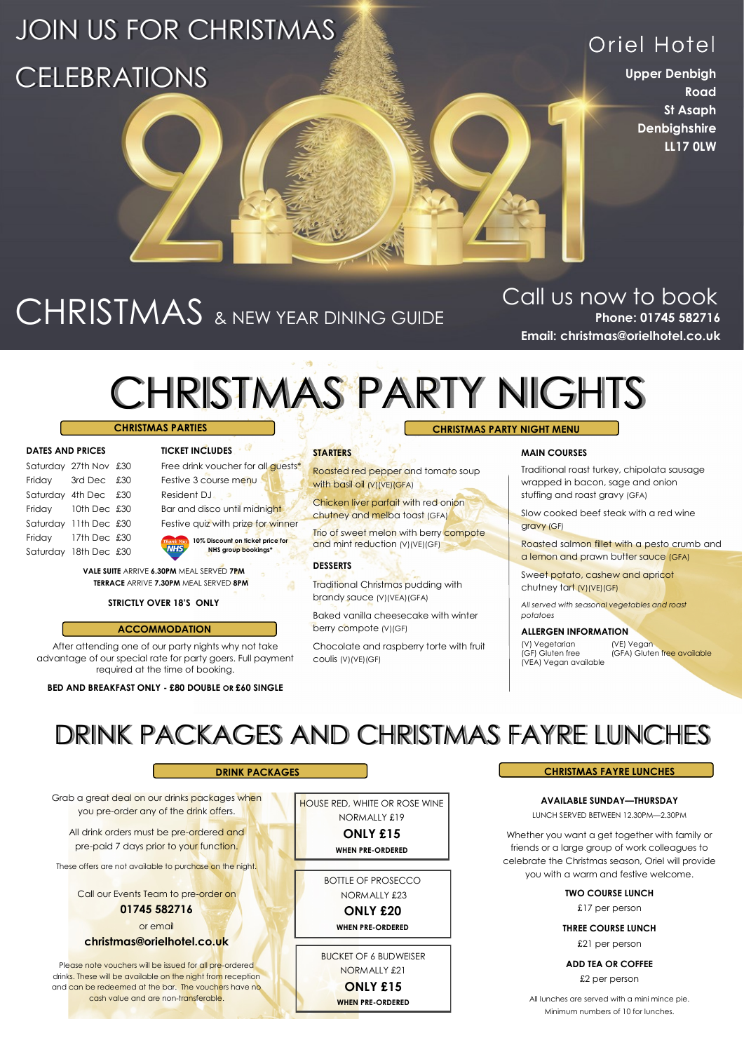### JOIN US FOR CHRISTMAS **CELEBRATIONS**

### Oriel Hotel

**Upper Denbigh Road St Asaph Denbighshire LL17 0LW**

## CHRISTMAS & NEW YEAR DINING GUIDE

**Phone: 01745 582716 Email: christmas@orielhotel.co.uk** Call us now to book

### CHRISTMAS PARTY NIGHTS **CHRISTMAS PARTY NIGHT MENU**

### **CHRISTMAS PARTIES**

| <b>DATES AND PRICES</b> |  |
|-------------------------|--|
|-------------------------|--|

|        | Saturday 27th Nov £30 |  |
|--------|-----------------------|--|
| Fridav | 3rd Dec £30           |  |
|        | Saturday 4th Dec £30  |  |
| Friday | 10th Dec £30          |  |
|        | Saturday 11th Dec £30 |  |
| Friday | 17th Dec £30          |  |
|        | Saturday 18th Dec £30 |  |

### Free drink voucher for all quests\* Festive 3 course menu Resident DJ Bar and disco until midnight Festive quiz with prize for winner **10% Discount on ticket price for**

**DATES AND PRICES TICKET INCLUDES**

**NHS group bookings\***

**VALE SUITE** ARRIVE **6.30PM** MEAL SERVED **7PM TERRACE** ARRIVE **7.30PM** MEAL SERVED **8PM**

### **STRICTLY OVER 18'S ONLY**

### **ACCOMMODATION**

After attending one of our party nights why not take advantage of our special rate for party goers. Full payment required at the time of booking.

### **BED AND BREAKFAST ONLY - £80 DOUBLE OR £60 SINGLE**

#### **STARTERS**

Roasted red pepper and tomato soup with basil oil (V)(VE)(GFA)

Chicken liver parfait with red onion chutney and melba toast (GFA)

**Trio of sweet melon with berry compote** and mint reduction (V)(VE)(GF)

### **DESSERTS**

Traditional Christmas pudding with brandy sauce (V)(VEA)(GFA)

Baked vanilla cheesecake with winter berry compote (V)(GF)

Chocolate and raspberry torte with fruit coulis (V)(VE)(GF)

### **MAIN COURSES**

Traditional roast turkey, chipolata sausage wrapped in bacon, sage and onion stuffing and roast gravy (GFA)

Slow cooked beef steak with a red wine gravy (GF)

Roasted salmon fillet with a pesto crumb and a lemon and prawn butter sauce (GFA)

Sweet potato, cashew and apricot chutney tart (V)(VE)(GF)

*All served with seasonal vegetables and roast potatoes*

### **ALLERGEN INFORMATION**

(V) Vegetarian (VE) Vegan (GF) Gluten free (GFA) Gluten free available (VEA) Vegan available

DRINK PACKAGES AND CHRISTMAS FAYRE LUNCHES

Grab a great deal on our drinks packages when you pre-order any of the drink offers.

All drink orders must be pre-ordered and pre-paid 7 days prior to your function.

These offers are not available to purchase on the night.

Call our Events Team to pre-order on

**01745 582716**

or email

### **christmas@orielhotel.co.uk**

Please note vouchers will be issued for all pre-ordered drinks. These will be available on the night from reception and can be redeemed at the bar. The vouchers have no cash value and are non-transferable.

**WHEN PRE-ORDERED** BOTTLE OF PROSECCO NORMALLY £23 **ONLY £20** 

HOUSE RED, WHITE OR ROSE WINE NORMALLY £19 **ONLY £15** 

**WHEN PRE-ORDERED**

BUCKET OF 6 BUDWEISER

NORMALLY £21 **ONLY £15** 

**WHEN PRE-ORDERED**

### **DRINK PACKAGES CHRISTMAS FAYRE LUNCHES**

**AVAILABLE SUNDAY—THURSDAY** LUNCH SERVED BETWEEN 12.30PM—2.30PM

Whether you want a get together with family or friends or a large group of work colleagues to celebrate the Christmas season, Oriel will provide you with a warm and festive welcome.

> **TWO COURSE LUNCH** £17 per person

**THREE COURSE LUNCH** £21 per person

**ADD TEA OR COFFEE** £2 per person

All lunches are served with a mini mince pie. Minimum numbers of 10 for lunches.